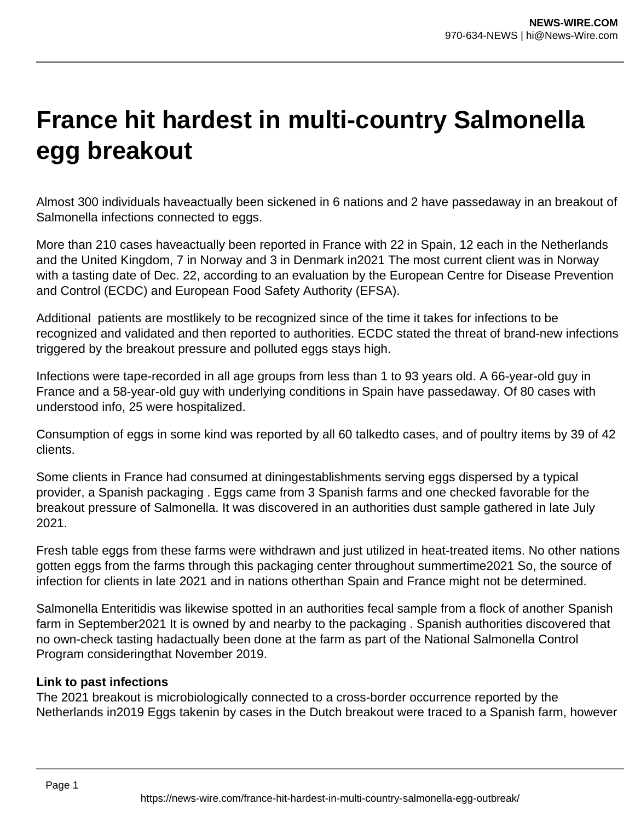## **France hit hardest in multi-country Salmonella egg breakout**

Almost 300 individuals haveactually been sickened in 6 nations and 2 have passedaway in an breakout of Salmonella infections connected to eggs.

More than 210 cases haveactually been reported in France with 22 in Spain, 12 each in the Netherlands and the United Kingdom, 7 in Norway and 3 in Denmark in2021 The most current client was in Norway with a tasting date of Dec. 22, according to an evaluation by the European Centre for Disease Prevention and Control (ECDC) and European Food Safety Authority (EFSA).

Additional patients are mostlikely to be recognized since of the time it takes for infections to be recognized and validated and then reported to authorities. ECDC stated the threat of brand-new infections triggered by the breakout pressure and polluted eggs stays high.

Infections were tape-recorded in all age groups from less than 1 to 93 years old. A 66-year-old guy in France and a 58-year-old guy with underlying conditions in Spain have passedaway. Of 80 cases with understood info, 25 were hospitalized.

Consumption of eggs in some kind was reported by all 60 talkedto cases, and of poultry items by 39 of 42 clients.

Some clients in France had consumed at diningestablishments serving eggs dispersed by a typical provider, a Spanish packaging . Eggs came from 3 Spanish farms and one checked favorable for the breakout pressure of Salmonella. It was discovered in an authorities dust sample gathered in late July 2021.

Fresh table eggs from these farms were withdrawn and just utilized in heat-treated items. No other nations gotten eggs from the farms through this packaging center throughout summertime2021 So, the source of infection for clients in late 2021 and in nations otherthan Spain and France might not be determined.

Salmonella Enteritidis was likewise spotted in an authorities fecal sample from a flock of another Spanish farm in September2021 It is owned by and nearby to the packaging . Spanish authorities discovered that no own-check tasting hadactually been done at the farm as part of the National Salmonella Control Program consideringthat November 2019.

## **Link to past infections**

The 2021 breakout is microbiologically connected to a cross-border occurrence reported by the Netherlands in2019 Eggs takenin by cases in the Dutch breakout were traced to a Spanish farm, however